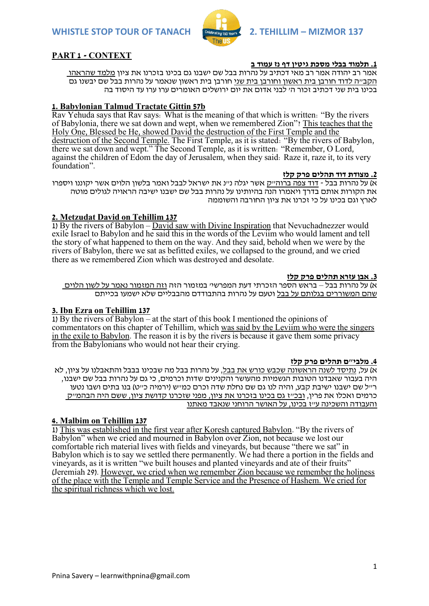

# **PART 1 - CONTEXT**

## **.1 תלמוד בבלי מסכת גיטין דף נז עמוד ב**

אמר רב יהודה אמר רב מאי דכתיב על נהרות בבל שם ישבנו גם בכינו בזכרנו את ציון מלמד שהראהו הקב"ה לדוד חורבן בית ראשון וחורבן בית שני חורבן בית ראשון שנאמר על נהרות בבל שם יבשנו גם בכינו בית שני דכתיב זכור ה' לבני אדום את יום ירושלים האומרים ערו ערו עד היסוד בה

## **1. Babylonian Talmud Tractate Gittin 57b**

Rav Yehuda says that Rav says: What is the meaning of that which is written: "By the rivers of Babylonia, there we sat down and wept, when we remembered Zion"? This teaches that the Holy One, Blessed be He, showed David the destruction of the First Temple and the destruction of the Second Temple. The First Temple, as it is stated: "By the rivers of Babylon, there we sat down and wept." The Second Temple, as it is written: "Remember, O Lord, against the children of Edom the day of Jerusalem, when they said: Raze it, raze it, to its very foundation".

### **.2 מצודת דוד תהלים פרק קלז**

א) על נהרות בבל - דוד צפה ברוה״ק אשר יגלה נ״נ את ישראל לבבל ואמר בלשון הלוים אשר יקוננו ויספרו את הקורות אותם בדרך ויאמרו הנה בהיותינו על נהרות בבל שם ישבנו ישיבה הראויה לגולים מוטה לארץ וגם בכינו על כי זכרנו את ציון החורבה והשוממה

# **2. Metzudat David on Tehillim 137**

1) By the rivers of Babylon – David saw with Divine Inspiration that Nevuchadnezzer would exile Israel to Babylon and he said this in the words of the Leviim who would lament and tell the story of what happened to them on the way. And they said, behold when we were by the rivers of Babylon, there we sat as befitted exiles, we collapsed to the ground, and we cried there as we remembered Zion which was destroyed and desolate.

### **.3 אבן עזרא תהלים פרק קלז**

א( על נהרות בבל – בראש הספר הזכרתי דעת המפרשי' במזמור הזה וזה המזמור נאמר על לשון הלוים שהם המשוררים בגלותם על בבל וטעם על נהרות בהתבודדם מהבבליים שלא ישמעו בכייתם

# **3. Ibn Ezra on Tehillim 137**

1) By the rivers of Babylon – at the start of this book I mentioned the opinions of commentators on this chapter of Tehillim, which was said by the Leviim who were the singers in the exile to Babylon. The reason it is by the rivers is because it gave them some privacy from the Babylonians who would not hear their crying.

#### **.4 מלבי"ם תהלים פרק קלז**

א) על, נתיסד לשנה הראשונה שכבש כורש את בבל, על נהרות בבל מה שבכינו בבבל והתאבלנו על ציון, לא היה בעבור שאבדנו הטובות הגשמיות מהעושר והקנינים שדות וכרמים, כי גם על נהרות בבל שם ישבנו, ר"ל שם ישבנו ישיבת קבע, והיה לנו גם שם נחלת שדה וכרם כמ"ש )ירמיה כ"ט( בנו בתים ושבו נטעו כרמים ואכלו את פרין, ובכ"ז גם בכינו בזכרנו את ציון, מפני שזכרנו קדושת ציון, ששם היה הבהמ"ק והעבודה והשכינה ע"ז בכינו, על האושר הרוחני שנאבד מאתנו

# **4. Malbim on Tehillim 137**

1) This was established in the first year after Koresh captured Babylon. "By the rivers of Babylon" when we cried and mourned in Babylon over Zion, not because we lost our comfortable rich material lives with fields and vineyards, but because "there we sat" in Babylon which is to say we settled there permanently. We had there a portion in the fields and vineyards, as it is written "we built houses and planted vineyards and ate of their fruits" (Jeremiah 29). However, we cried when we remember Zion because we remember the holiness of the place with the Temple and Temple Service and the Presence of Hashem. We cried for the spiritual richness which we lost.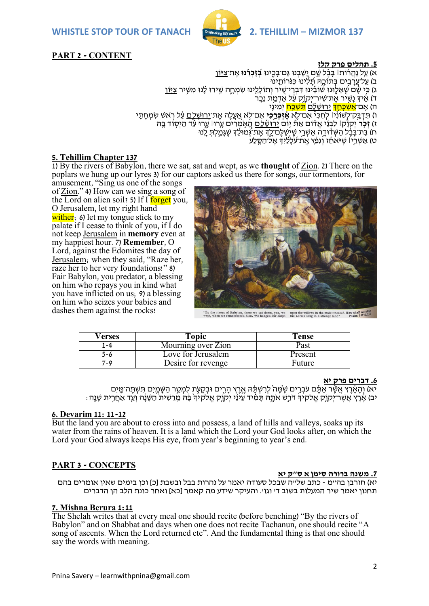

# **PART 2 - CONTENT**

## **.5 תהלים פרק קלז**

א( עַ ַ֥ל נַהֲ ר֨ ֹות׀ בָּ בֶֶ֗ ל שָּ ָׁ֣ ם יָָּ֭ שַ בְ נּו גַם־בָּ כִ ִ֑ ינּו **בְְּ֝ זָכְ ר ֵ֗ נּו** אֶ ת־צִ יּֽ ֹון ב) עַל־עֲרַבֵים בִּתוֹכֵה תַּלִּינוּ כִּנֹּרוֹתֵינוּ ג) כֵּי שַׁם שֵׁאֱלֵוּנוּ שׁוֹבֵינוּ דְבְרֵי־שֵׁיר וְתוֹלָלֵינוּ שִׂמְחַה שִֵירוּ לָנוּ מִשֵּׁיר <u>צִיּוֹן</u> ד) אֵיךְ נַשֵיר אֶת־שִיר־יִקוַק עַל אַדְמֵת נֵכֵר ָה) אָם־<mark>אִשָּׁכַּחַד</mark>ָּ יִרוּשָׁלָם <mark>תָּשָׁכַּח</mark> יִמֵינִי ו) תִדְבַק־לְשִׁוֹנִ<sup>וֹ</sup> לַחְכַּי אִם־לֹא **אִזְכִּרְכִי** אִם־לֹא אַעְלָה אַת־יְרוּשֶׁלֶם עָל רֹאִשְׁ שַמְחִתֵּי ז( **זְ כ ֹ֤ ר** יְקֹוָּ֨ק׀ לִבְ נ ֵ֬ י אֱ דֶ֗ ֹום א ת֘ יִּ֤ ֹום יְ ּֽ רּושָָּׁ֫ לִִַַָּ֑֥ם הָָּ֭ אָֹּׁ֣ מְ רִ ים עָּ ִּ֤רּו׀ עָּ ִ֑רּו עֶַ֗ ד הַ יְסַ֥ ֹוד בָּ ּֽ ּה ח) בַּת־בַּבָּ֫ל הַשְׁדָּ֫וּדֵה אַשְׁרֵי שֶיֹּשֶׁלֶּם־לֵדְּ אֶת־גְּמוּלֶדְ שֶׁגַּמֵלֶתּ לֵיוּ ָט) אַשְׁרֵיוֹ שֵיּאֹחֶז וְנִפֵּאָ אֶת־עַלְלָיִךְ אֶל־הַסֶּלַע

# **5. Tehillim Chapter 137**

1) By the rivers of Babylon, there we sat, sat and wept, as we **thought** of Zion. 2) There on the poplars we hung up our lyres 3) for our captors asked us there for songs, our tormentors, for

amusement, "Sing us one of the songs of Zion." 4) How can we sing a song of the Lord on alien soil? 5) If I forget you, O Jerusalem, let my right hand wither<sub>i</sub> 6) let my tongue stick to my palate if I cease to think of you, if I do not keep Jerusalem in **memory** even at my happiest hour. 7) **Remember**, O Lord, against the Edomites the day of Jerusalem; when they said, "Raze her, raze her to her very foundations!" 8) Fair Babylon, you predator, a blessing on him who repays you in kind what you have inflicted on us; 9) a blessing on him who seizes your babies and dashes them against the rocks!



"By the rivers of Babylon, there we sat down, yea, we<br>went when we remembered Zion. We hanged our harps the Lord's song in a strange land? Psalm 137:1,2,4

| Verses  | Topic              | Tense   |
|---------|--------------------|---------|
| -4      | Mourning over Zion | Past    |
| $5 - 6$ | Love for Jerusalem | Present |
| 7-9     | Desire for revenge | Future  |

### **.6 דברים פרק יא**

יא) וְהַאֲרֵץ אֲשֶּׁר אֲתֵּ֫ם עֹבְרֵים שַׂמַּה ׁלְרִשְׁתֶּ֫הּ אֱרֵץ הָרִים וּבְקָעֶת לִמְטֵר הַשָּׁמַיִם תִּשְׁתֵּה־מֶּיִם ּיב) אֶרִץ אַשְר־יִקוֹק אַלקיֹד דֹּרְש אֹתָה תַּמִ֫יד עִינוֹ יקוֹק אַלְקִידְ בַּה מִרשִית הַשְּׂנָה וְעַד אַחְרִית שִׁנָּה:

## **6. Devarim 11: 11-12**

But the land you are about to cross into and possess, a land of hills and valleys, soaks up its water from the rains of heaven. It is a land which the Lord your God looks after, on which the Lord your God always keeps His eye, from year's beginning to year's end.

# **PART 3 - CONCEPTS**

### **.7 משנה ברורה סימן א ס"ק יא**

יא) חורבן בה״מ - כתב של״ה שבכל סעודה יאמר על נהרות בבל ובשבת [כ] וכן בימים שאין אומרים בהם תחנון יאמר שיר המעלות בשוב ד' וגו'. והעיקר שידע מה קאמר ]כא[ ואחר כונת הלב הן הדברים

# **7. Mishna Berura 1:11**

The Shelah writes that at every meal one should recite (before benching) "By the rivers of Babylon" and on Shabbat and days when one does not recite Tachanun, one should recite "A song of ascents. When the Lord returned etc". And the fundamental thing is that one should say the words with meaning.